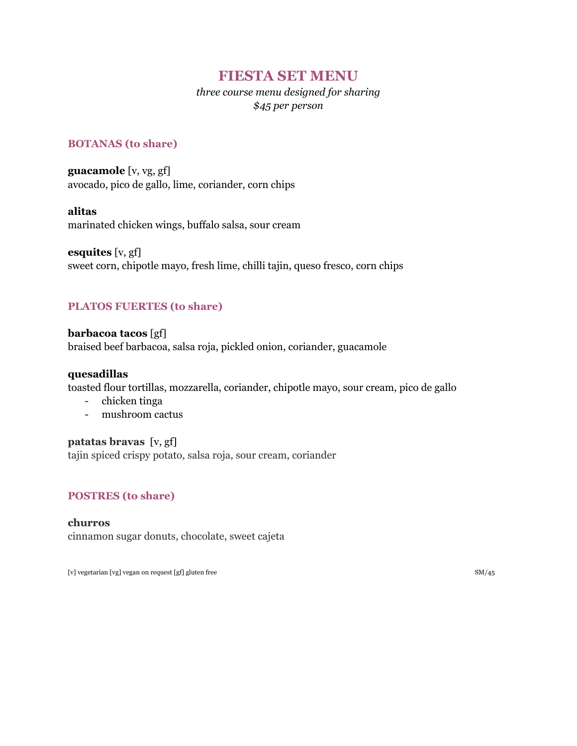# **FIESTA SET MENU**

# *three course menu designed for sharing \$45 per person*

### **BOTANAS (to share)**

**guacamole** [v, vg, gf] avocado, pico de gallo, lime, coriander, corn chips

### **alitas**

marinated chicken wings, buffalo salsa, sour cream

**esquites** [v, gf] sweet corn, chipotle mayo, fresh lime, chilli tajin, queso fresco, corn chips

## **PLATOS FUERTES (to share)**

**barbacoa tacos** [gf] braised beef barbacoa, salsa roja, pickled onion, coriander, guacamole

#### **quesadillas**

toasted flour tortillas, mozzarella, coriander, chipotle mayo, sour cream, pico de gallo

- chicken tinga
- mushroom cactus

### **patatas bravas** [v, gf]

tajin spiced crispy potato, salsa roja, sour cream, coriander

### **POSTRES (to share)**

**churros** cinnamon sugar donuts, chocolate, sweet cajeta

[v] vegetarian [vg] vegan on request [gf] gluten free SM/45